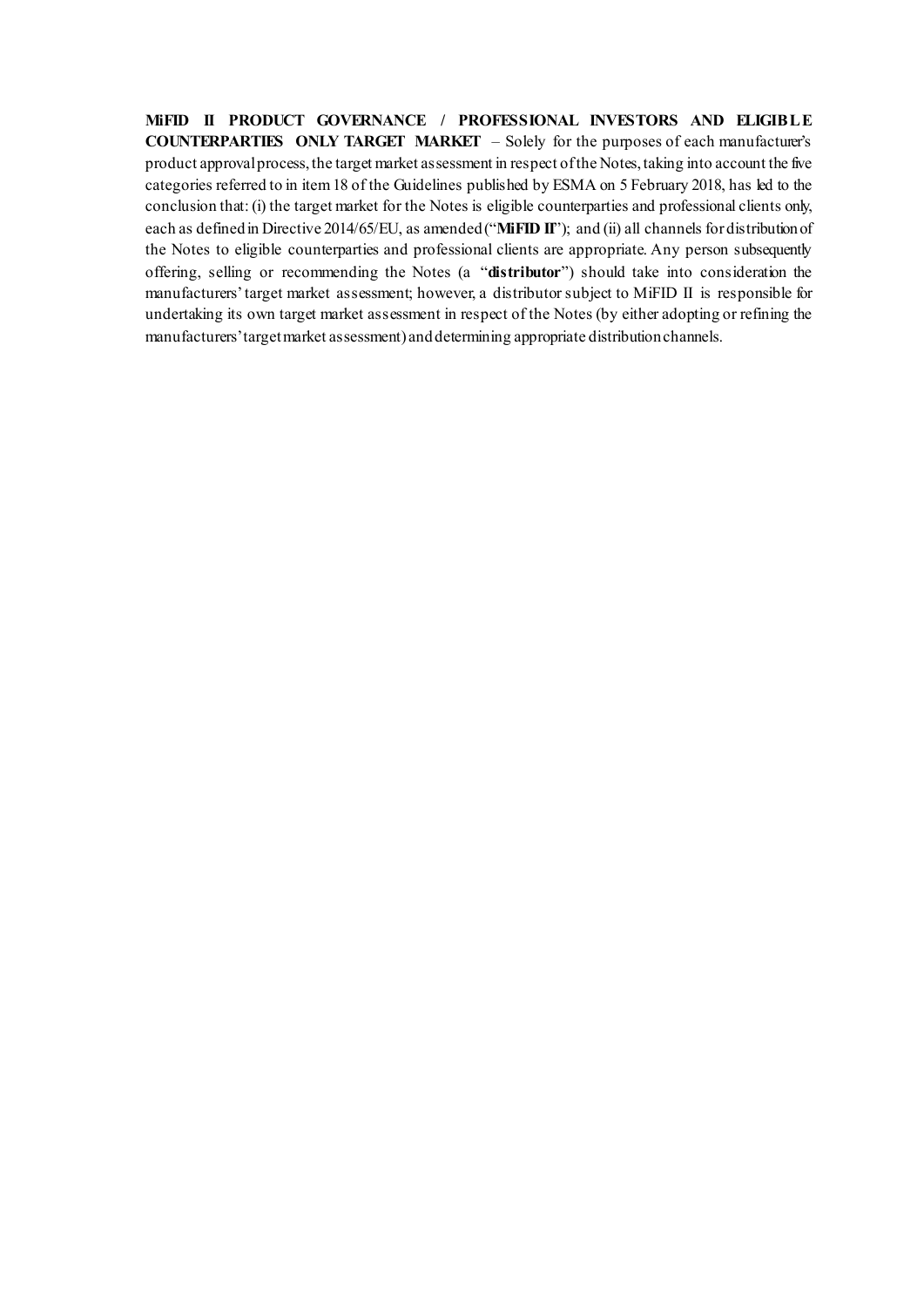**MiFID II PRODUCT GOVERNANCE / PROFESSIONAL INVESTORS AND ELIGIBLE COUNTERPARTIES ONLY TARGET MARKET** – Solely for the purposes of each manufacturer's product approval process, the target market assessment in respect of the Notes, taking into account the five categories referred to in item 18 of the Guidelines published by ESMA on 5 February 2018, has led to the conclusion that: (i) the target market for the Notes is eligible counterparties and professional clients only, each as defined in Directive 2014/65/EU, as amended ("**MiFID II**"); and (ii) all channels for distribution of the Notes to eligible counterparties and professional clients are appropriate. Any person subsequently offering, selling or recommending the Notes (a "**distributor**") should take into consideration the manufacturers' target market assessment; however, a distributor subject to MiFID II is responsible for undertaking its own target market assessment in respect of the Notes (by either adopting or refining the manufacturers' target market assessment) and determining appropriate distribution channels.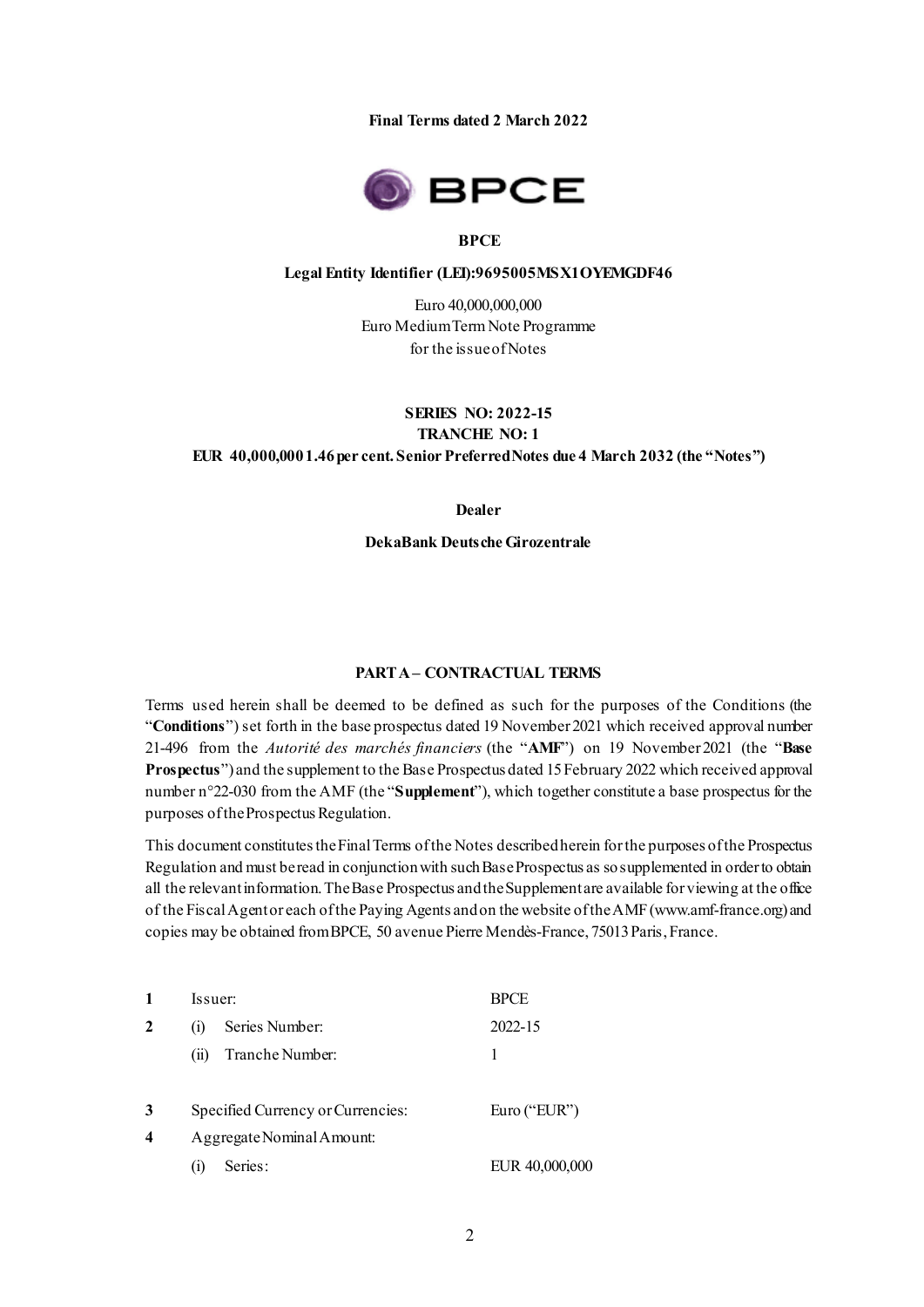**Final Terms dated 2 March 2022**



#### **BPCE**

#### **Legal Entity Identifier (LEI):9695005MSX1OYEMGDF46**

Euro 40,000,000,000 Euro Medium Term Note Programme for the issue of Notes

### **SERIES NO: 2022-15 TRANCHE NO: 1 EUR 40,000,000 1.46 per cent. Senior Preferred Notes due 4 March 2032 (the "Notes")**

**Dealer**

**DekaBank Deutsche Girozentrale**

#### **PART A – CONTRACTUAL TERMS**

Terms used herein shall be deemed to be defined as such for the purposes of the Conditions (the "**Conditions**") set forth in the base prospectus dated 19 November 2021 which received approval number 21-496 from the *Autorité des marchés financiers* (the "**AMF**") on 19 November 2021 (the "**Base Prospectus**") and the supplement to the Base Prospectus dated 15 February 2022 which received approval number n°22-030 from the AMF (the "**Supplement**"), which together constitute a base prospectus for the purposes of the Prospectus Regulation.

This document constitutes the Final Terms of the Notes described herein for the purposes of the Prospectus Regulation and must be read in conjunction with such Base Prospectus as so supplemented in order to obtain all the relevant information. The Base Prospectus and the Supplementare available for viewing at the office of the Fiscal Agent or each of the Paying Agents and on the website of the AMF (www.amf-france.org) and copies may be obtained from BPCE, 50 avenue Pierre Mendès-France, 75013 Paris, France.

|                         | Issuer:                            | BPCE           |
|-------------------------|------------------------------------|----------------|
| 2                       | Series Number:<br>$\left(1\right)$ | 2022-15        |
|                         | Tranche Number:<br>(11)            | 1              |
| 3                       | Specified Currency or Currencies:  | Euro ("EUR")   |
| $\overline{\mathbf{4}}$ | Aggregate Nominal Amount:          |                |
|                         | Series:<br>$\left(1\right)$        | EUR 40,000,000 |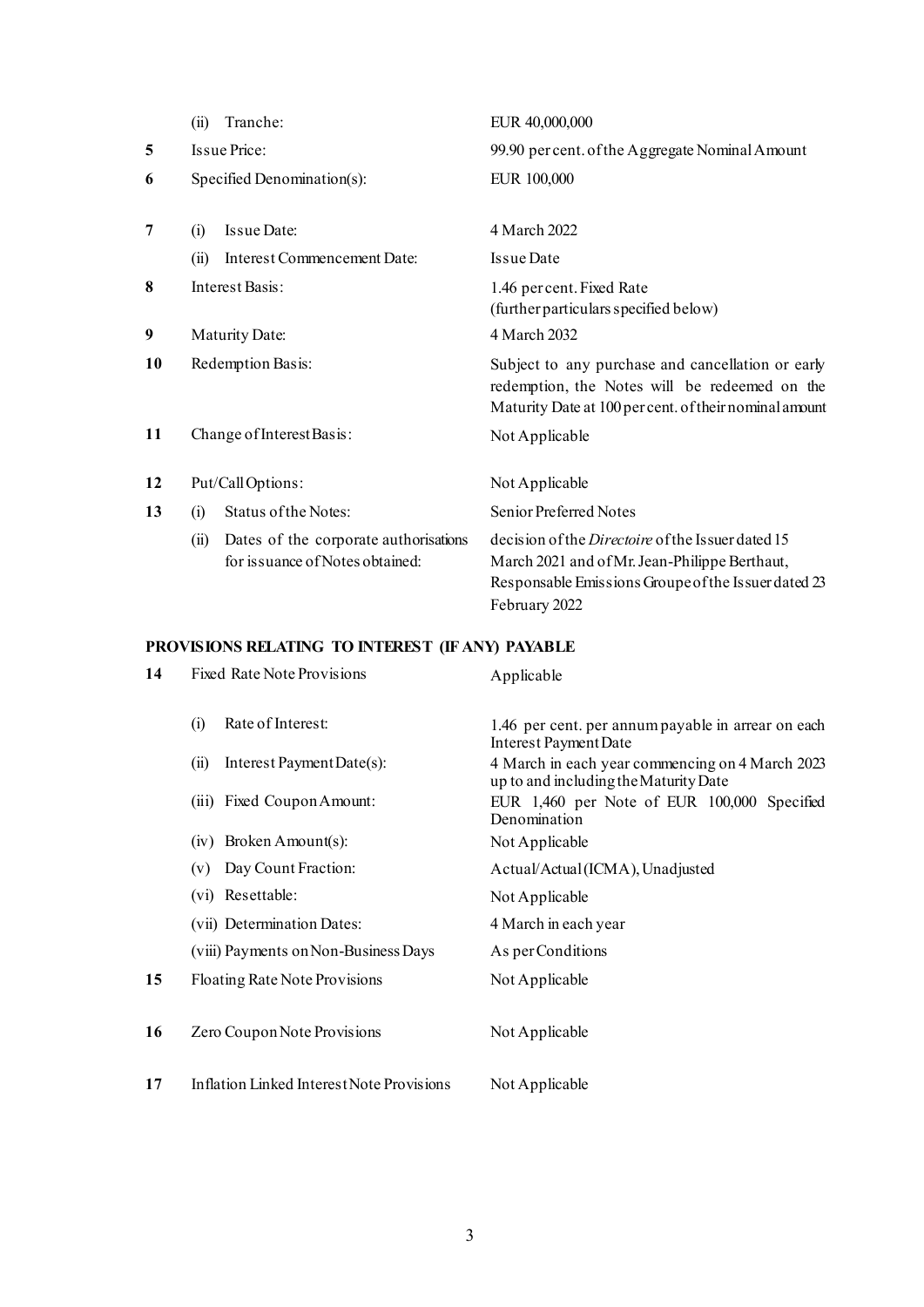|    | Tranche:<br>(i)                                                                  | EUR 40,000,000                                                                                                                                                                    |
|----|----------------------------------------------------------------------------------|-----------------------------------------------------------------------------------------------------------------------------------------------------------------------------------|
| 5  | Issue Price:                                                                     | 99.90 per cent. of the Aggregate Nominal Amount                                                                                                                                   |
| 6  | Specified Denomination(s):                                                       | EUR 100,000                                                                                                                                                                       |
|    |                                                                                  |                                                                                                                                                                                   |
| 7  | Issue Date:<br>(i)                                                               | 4 March 2022                                                                                                                                                                      |
|    | Interest Commencement Date:<br>(ii)                                              | <b>Issue Date</b>                                                                                                                                                                 |
| 8  | Interest Basis:                                                                  | 1.46 per cent. Fixed Rate<br>(further particulars specified below)                                                                                                                |
| 9  | <b>Maturity Date:</b>                                                            | 4 March 2032                                                                                                                                                                      |
| 10 | Redemption Basis:                                                                | Subject to any purchase and cancellation or early<br>redemption, the Notes will be redeemed on the<br>Maturity Date at 100 per cent. of their nominal amount                      |
| 11 | Change of Interest Basis:                                                        | Not Applicable                                                                                                                                                                    |
| 12 | Put/CallOptions:                                                                 | Not Applicable                                                                                                                                                                    |
| 13 | Status of the Notes:<br>(i)                                                      | Senior Preferred Notes                                                                                                                                                            |
|    | Dates of the corporate authorisations<br>(ii)<br>for issuance of Notes obtained: | decision of the <i>Directoire</i> of the Issuer dated 15<br>March 2021 and of Mr. Jean-Philippe Berthaut,<br>Responsable Emissions Groupe of the Issuer dated 23<br>February 2022 |

# **PROVISIONS RELATING TO INTEREST (IF ANY) PAYABLE**

| 14 | <b>Fixed Rate Note Provisions</b>         | Applicable                                                                               |
|----|-------------------------------------------|------------------------------------------------------------------------------------------|
|    | Rate of Interest:<br>(i)                  | 1.46 per cent. per annum payable in arrear on each<br>Interest Payment Date              |
|    | Interest Payment Date(s):<br>(i)          | 4 March in each year commencing on 4 March 2023<br>up to and including the Maturity Date |
|    | (iii) Fixed Coupon Amount:                | EUR 1,460 per Note of EUR 100,000 Specified<br>Denomination                              |
|    | $(iv)$ Broken Amount(s):                  | Not Applicable                                                                           |
|    | Day Count Fraction:<br>(v)                | Actual/Actual (ICMA), Unadjusted                                                         |
|    | (vi) Resettable:                          | Not Applicable                                                                           |
|    | (vii) Determination Dates:                | 4 March in each year                                                                     |
|    | (viii) Payments on Non-Business Days      | As per Conditions                                                                        |
| 15 | Floating Rate Note Provisions             | Not Applicable                                                                           |
| 16 | Zero Coupon Note Provisions               | Not Applicable                                                                           |
| 17 | Inflation Linked Interest Note Provisions | Not Applicable                                                                           |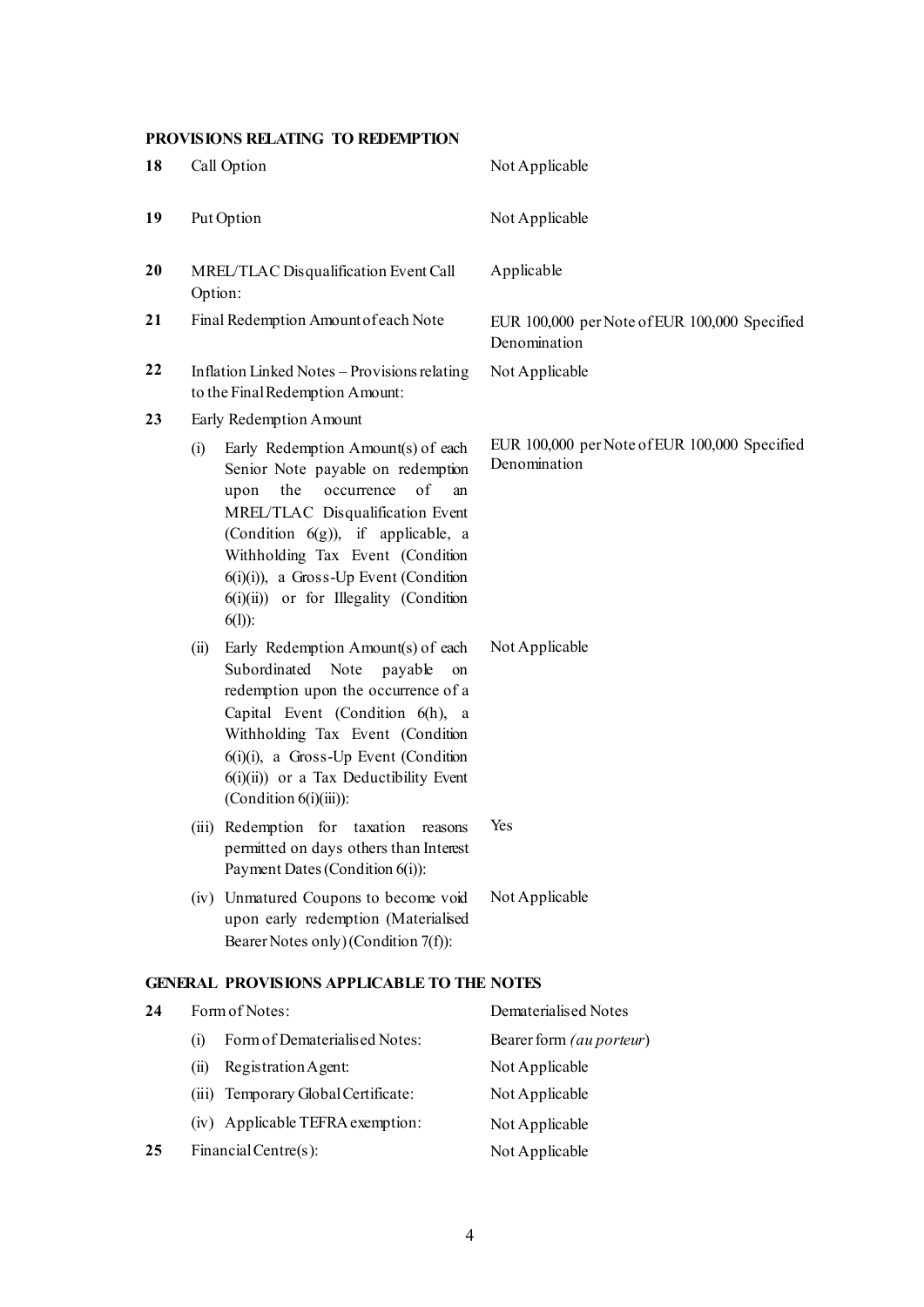# **PROVISIONS RELATING TO REDEMPTION**

| 18 |         | Call Option                                                                                                                                                                                                                                                                                                                         | Not Applicable                                                |
|----|---------|-------------------------------------------------------------------------------------------------------------------------------------------------------------------------------------------------------------------------------------------------------------------------------------------------------------------------------------|---------------------------------------------------------------|
| 19 |         | Put Option                                                                                                                                                                                                                                                                                                                          | Not Applicable                                                |
| 20 | Option: | MREL/TLAC Disqualification Event Call                                                                                                                                                                                                                                                                                               | Applicable                                                    |
| 21 |         | Final Redemption Amount of each Note                                                                                                                                                                                                                                                                                                | EUR 100,000 per Note of EUR 100,000 Specified<br>Denomination |
| 22 |         | Inflation Linked Notes - Provisions relating<br>to the Final Redemption Amount:                                                                                                                                                                                                                                                     | Not Applicable                                                |
| 23 |         | Early Redemption Amount                                                                                                                                                                                                                                                                                                             |                                                               |
|    | (i)     | Early Redemption Amount(s) of each<br>Senior Note payable on redemption<br>of<br>the<br>occurrence<br>upon<br>an<br>MREL/TLAC Disqualification Event<br>(Condition $6(g)$ ), if applicable, a<br>Withholding Tax Event (Condition<br>$6(i)(i)$ , a Gross-Up Event (Condition<br>$6(i)(ii)$ or for Illegality (Condition<br>$6(1)$ : | EUR 100,000 per Note of EUR 100,000 Specified<br>Denomination |
|    | (ii)    | Early Redemption Amount(s) of each<br>Subordinated Note<br>payable<br>on<br>redemption upon the occurrence of a<br>Capital Event (Condition 6(h), a<br>Withholding Tax Event (Condition<br>$6(i)(i)$ , a Gross-Up Event (Condition<br>$6(i)(ii)$ or a Tax Deductibility Event<br>$(Condition 6(i)(iii))$ :                          | Not Applicable                                                |
|    |         | (iii) Redemption for taxation reasons<br>permitted on days others than Interest<br>Payment Dates (Condition 6(i)):                                                                                                                                                                                                                  | Yes                                                           |
|    |         | (iv) Unmatured Coupons to become void<br>upon early redemption (Materialised<br>Bearer Notes only) (Condition 7(f)):                                                                                                                                                                                                                | Not Applicable                                                |
|    |         | <b>GENERAL PROVISIONS APPLICABLE TO THE NOTES</b>                                                                                                                                                                                                                                                                                   |                                                               |
| 24 |         | Form of Notes:                                                                                                                                                                                                                                                                                                                      | Dematerialised Notes                                          |
|    | (i)     | Form of Dematerialised Notes:                                                                                                                                                                                                                                                                                                       | Bearer form (au porteur)                                      |
|    | (ii)    | Registration Agent:                                                                                                                                                                                                                                                                                                                 | Not Applicable                                                |
|    | (iii)   | Temporary Global Certificate:                                                                                                                                                                                                                                                                                                       | Not Applicable                                                |
|    | (1V)    | Applicable TEFRA exemption:                                                                                                                                                                                                                                                                                                         | Not Applicable                                                |
| 25 |         | Financial Centre(s):                                                                                                                                                                                                                                                                                                                | Not Applicable                                                |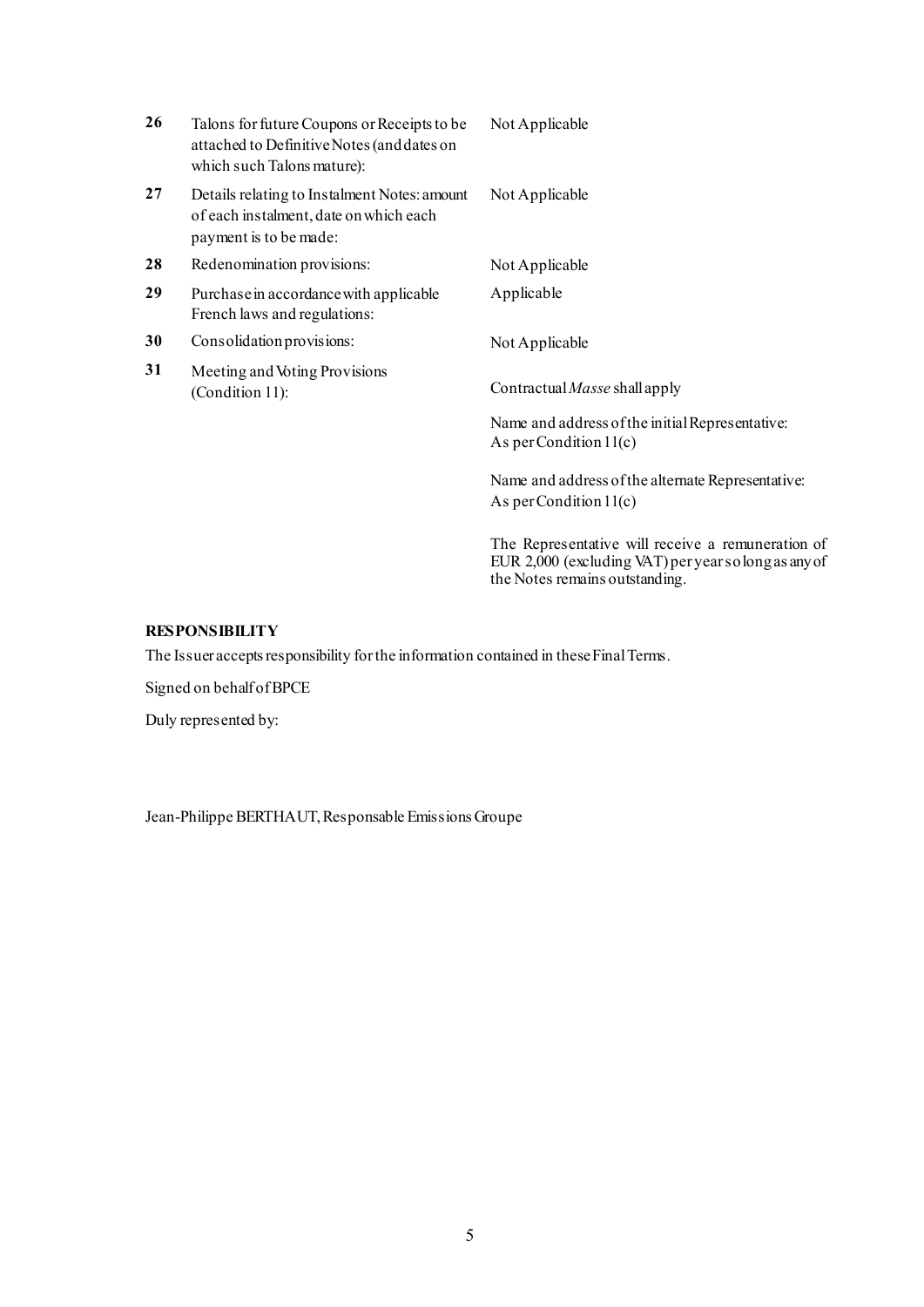| 26 | Talons for future Coupons or Receipts to be<br>attached to Definitive Notes (and dates on<br>which such Talons mature): | Not Applicable                                                                                           |
|----|-------------------------------------------------------------------------------------------------------------------------|----------------------------------------------------------------------------------------------------------|
| 27 | Details relating to Instalment Notes: amount<br>of each instalment, date on which each<br>payment is to be made:        | Not Applicable                                                                                           |
| 28 | Redenomination provisions:                                                                                              | Not Applicable                                                                                           |
| 29 | Purchase in accordance with applicable<br>French laws and regulations:                                                  | Applicable                                                                                               |
| 30 | Consolidation provisions:                                                                                               | Not Applicable                                                                                           |
| 31 | Meeting and Voting Provisions<br>(Condition 11):                                                                        | Contractual Masse shall apply                                                                            |
|    |                                                                                                                         | Name and address of the initial Representative:<br>As per Condition $11(c)$                              |
|    |                                                                                                                         | Name and address of the alternate Representative:<br>As per Condition $11(c)$                            |
|    |                                                                                                                         | The Representative will receive a remuneration of<br>EUR 2,000 (excluding VAT) per years olong as any of |

the Notes remains outstanding.

## **RESPONSIBILITY**

The Issuer accepts responsibility for the information contained in these Final Terms.

Signed on behalf of BPCE

Duly represented by:

Jean-Philippe BERTHAUT, Responsable Emissions Groupe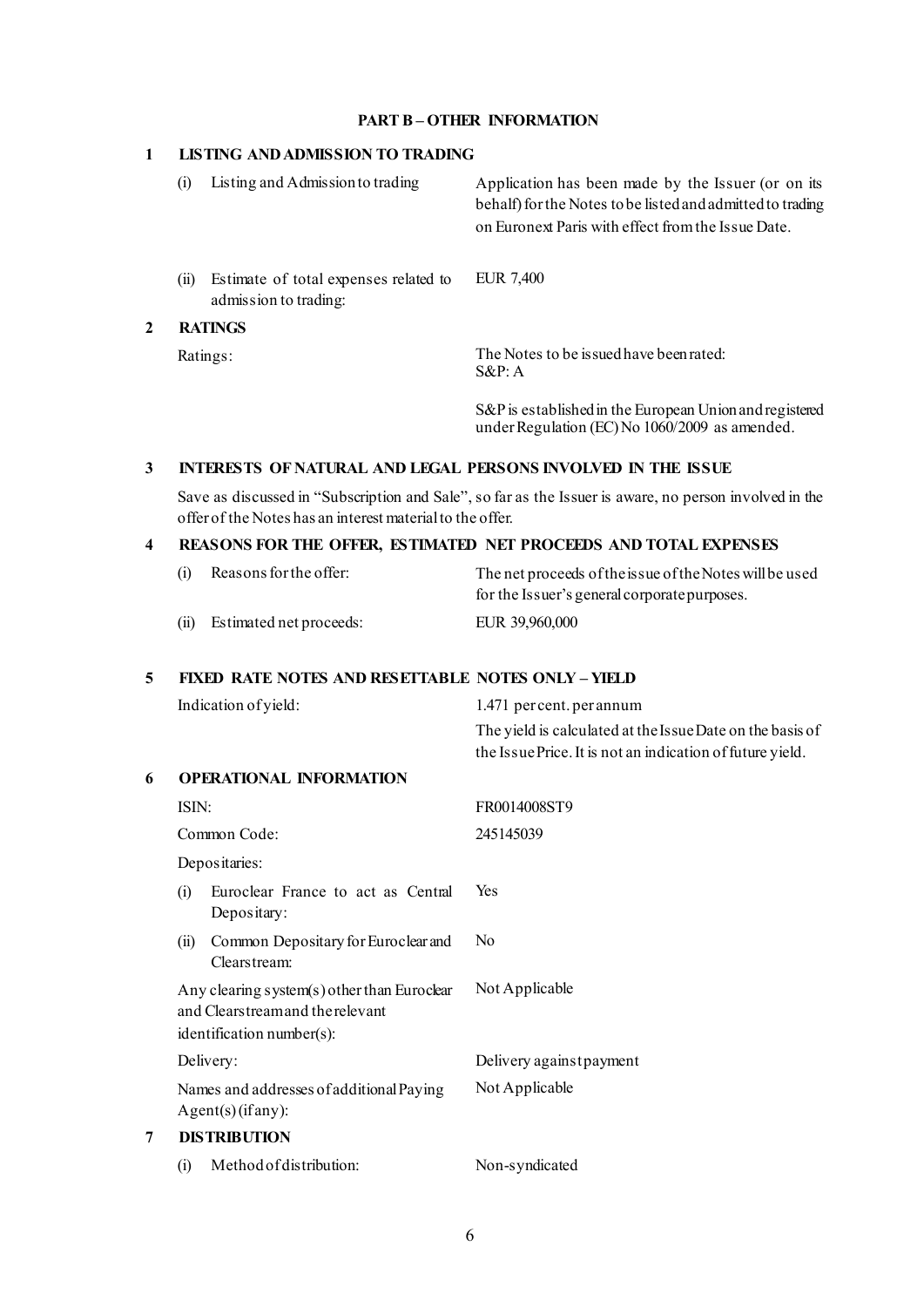### **PART B – OTHER INFORMATION**

#### **1 LISTING AND ADMISSION TO TRADING**

|   |      | Listing and Admission to trading                               | Application has been made by the Issuer (or on its<br>behalf) for the Notes to be listed and admitted to trading<br>on Euronext Paris with effect from the Issue Date. |  |  |
|---|------|----------------------------------------------------------------|------------------------------------------------------------------------------------------------------------------------------------------------------------------------|--|--|
|   | (11) | Estimate of total expenses related to<br>admission to trading: | EUR 7,400                                                                                                                                                              |  |  |
| 2 |      | <b>RATINGS</b>                                                 |                                                                                                                                                                        |  |  |
|   |      | Ratings:                                                       | The Notes to be is sued have been rated:<br>$S\&P: A$                                                                                                                  |  |  |

S&Pis established in the European Union and registered under Regulation (EC) No 1060/2009 as amended.

## **3 INTERESTS OF NATURAL AND LEGAL PERSONS INVOLVED IN THE ISSUE**

Save as discussed in "Subscription and Sale", so far as the Issuer is aware, no person involved in the offer of the Notes has an interest material to the offer.

### **4 REASONS FOR THE OFFER, ESTIMATED NET PROCEEDS AND TOTAL EXPENSES**

| (i)  | Reasons for the offer:  | The net proceeds of the issue of the Notes will be used |
|------|-------------------------|---------------------------------------------------------|
|      |                         | for the Issuer's general corporate purposes.            |
| (ii) | Estimated net proceeds: | EUR 39,960,000                                          |

#### **5 FIXED RATE NOTES AND RESETTABLE NOTES ONLY – YIELD**

| Indication of yield:                                                                                        | 1.471 percent. per annum                                  |
|-------------------------------------------------------------------------------------------------------------|-----------------------------------------------------------|
|                                                                                                             | The yield is calculated at the Issue Date on the basis of |
|                                                                                                             | the Issue Price. It is not an indication of future yield. |
| <b>OPERATIONAL INFORMATION</b>                                                                              |                                                           |
| ISIN:                                                                                                       | FR0014008ST9                                              |
| Common Code:                                                                                                | 245145039                                                 |
| Depositaries:                                                                                               |                                                           |
| Euroclear France to act as Central<br>(i)<br>Depositary:                                                    | Yes                                                       |
| Common Depositary for Euroclear and<br>(ii)<br>Clearstream:                                                 | N <sub>0</sub>                                            |
| Any clearing system(s) other than Euroclear<br>and Clearstreamand the relevant<br>identification number(s): | Not Applicable                                            |
| Delivery:                                                                                                   | Delivery against payment                                  |
| Names and addresses of additional Paying<br>Agent(s)(if any):                                               | Not Applicable                                            |
| <b>DISTRIBUTION</b>                                                                                         |                                                           |
| Method of distribution:<br>(i)                                                                              | Non-syndicated                                            |
|                                                                                                             |                                                           |